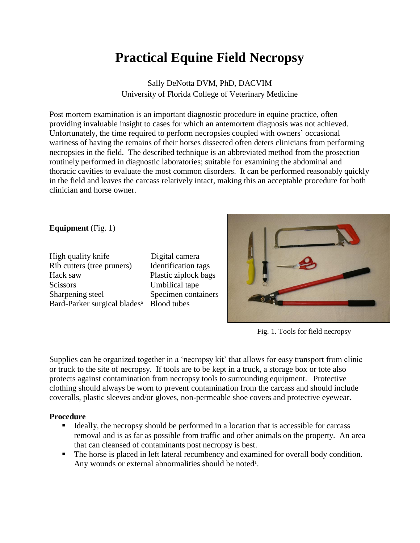## **Practical Equine Field Necropsy**

Sally DeNotta DVM, PhD, DACVIM University of Florida College of Veterinary Medicine

Post mortem examination is an important diagnostic procedure in equine practice, often providing invaluable insight to cases for which an antemortem diagnosis was not achieved. Unfortunately, the time required to perform necropsies coupled with owners' occasional wariness of having the remains of their horses dissected often deters clinicians from performing necropsies in the field. The described technique is an abbreviated method from the prosection routinely performed in diagnostic laboratories; suitable for examining the abdominal and thoracic cavities to evaluate the most common disorders. It can be performed reasonably quickly in the field and leaves the carcass relatively intact, making this an acceptable procedure for both clinician and horse owner.

**Equipment** (Fig. 1)

High quality knife Digital camera Rib cutters (tree pruners) Identification tags Hack saw Plastic ziplock bags Scissors Umbilical tape Sharpening steel Specimen containers Bard-Parker surgical blades<sup>a</sup> Blood tubes



Fig. 1. Tools for field necropsy

Supplies can be organized together in a 'necropsy kit' that allows for easy transport from clinic or truck to the site of necropsy. If tools are to be kept in a truck, a storage box or tote also protects against contamination from necropsy tools to surrounding equipment. Protective clothing should always be worn to prevent contamination from the carcass and should include coveralls, plastic sleeves and/or gloves, non-permeable shoe covers and protective eyewear.

## **Procedure**

- Ideally, the necropsy should be performed in a location that is accessible for carcass removal and is as far as possible from traffic and other animals on the property. An area that can cleansed of contaminants post necropsy is best.
- The horse is placed in left lateral recumbency and examined for overall body condition. Any wounds or external abnormalities should be noted<sup>1</sup>.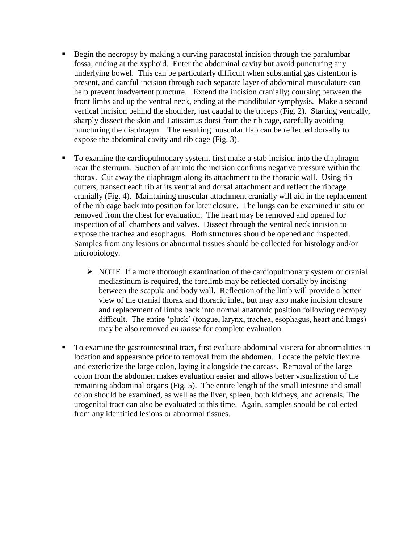- Begin the necropsy by making a curving paracostal incision through the paralumbar fossa, ending at the xyphoid. Enter the abdominal cavity but avoid puncturing any underlying bowel. This can be particularly difficult when substantial gas distention is present, and careful incision through each separate layer of abdominal musculature can help prevent inadvertent puncture. Extend the incision cranially; coursing between the front limbs and up the ventral neck, ending at the mandibular symphysis. Make a second vertical incision behind the shoulder, just caudal to the triceps (Fig. 2). Starting ventrally, sharply dissect the skin and Latissimus dorsi from the rib cage, carefully avoiding puncturing the diaphragm. The resulting muscular flap can be reflected dorsally to expose the abdominal cavity and rib cage (Fig. 3).
- To examine the cardiopulmonary system, first make a stab incision into the diaphragm near the sternum. Suction of air into the incision confirms negative pressure within the thorax. Cut away the diaphragm along its attachment to the thoracic wall. Using rib cutters, transect each rib at its ventral and dorsal attachment and reflect the ribcage cranially (Fig. 4). Maintaining muscular attachment cranially will aid in the replacement of the rib cage back into position for later closure. The lungs can be examined in situ or removed from the chest for evaluation. The heart may be removed and opened for inspection of all chambers and valves. Dissect through the ventral neck incision to expose the trachea and esophagus. Both structures should be opened and inspected. Samples from any lesions or abnormal tissues should be collected for histology and/or microbiology.
	- $\triangleright$  NOTE: If a more thorough examination of the cardiopulmonary system or cranial mediastinum is required, the forelimb may be reflected dorsally by incising between the scapula and body wall. Reflection of the limb will provide a better view of the cranial thorax and thoracic inlet, but may also make incision closure and replacement of limbs back into normal anatomic position following necropsy difficult. The entire 'pluck' (tongue, larynx, trachea, esophagus, heart and lungs) may be also removed *en masse* for complete evaluation.
- To examine the gastrointestinal tract, first evaluate abdominal viscera for abnormalities in location and appearance prior to removal from the abdomen. Locate the pelvic flexure and exteriorize the large colon, laying it alongside the carcass. Removal of the large colon from the abdomen makes evaluation easier and allows better visualization of the remaining abdominal organs (Fig. 5). The entire length of the small intestine and small colon should be examined, as well as the liver, spleen, both kidneys, and adrenals. The urogenital tract can also be evaluated at this time. Again, samples should be collected from any identified lesions or abnormal tissues.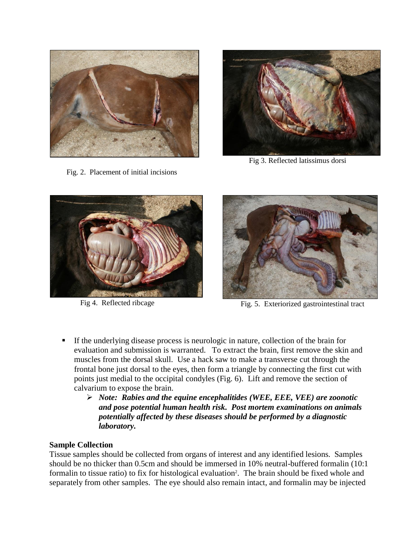

Fig. 2. Placement of initial incisions



Fig 3. Reflected latissimus dorsi





Fig 4. Reflected ribcageFig. 5. Exteriorized gastrointestinal tract

- If the underlying disease process is neurologic in nature, collection of the brain for evaluation and submission is warranted. To extract the brain, first remove the skin and muscles from the dorsal skull. Use a hack saw to make a transverse cut through the frontal bone just dorsal to the eyes, then form a triangle by connecting the first cut with points just medial to the occipital condyles (Fig. 6). Lift and remove the section of calvarium to expose the brain.
	- *Note: Rabies and the equine encephalitides (WEE, EEE, VEE) are zoonotic and pose potential human health risk. Post mortem examinations on animals potentially affected by these diseases should be performed by a diagnostic laboratory.*

## **Sample Collection**

Tissue samples should be collected from organs of interest and any identified lesions. Samples should be no thicker than 0.5cm and should be immersed in 10% neutral-buffered formalin (10:1 formalin to tissue ratio) to fix for histological evaluation<sup>2</sup>. The brain should be fixed whole and separately from other samples. The eye should also remain intact, and formalin may be injected